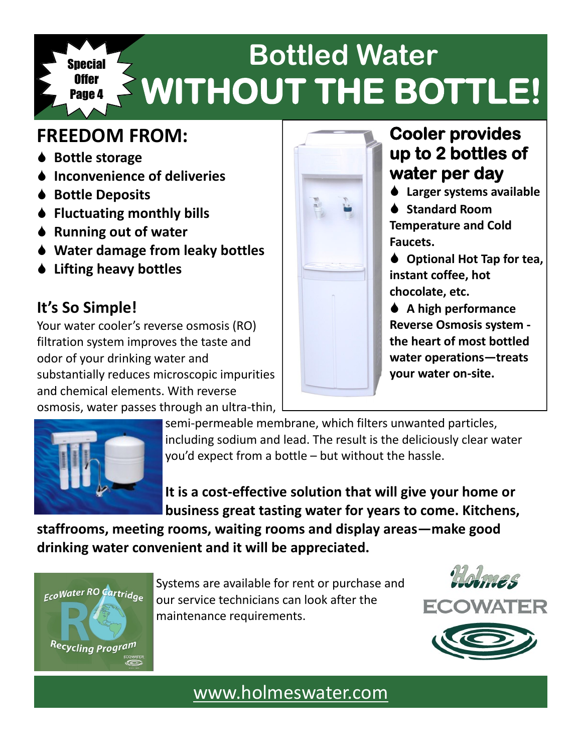#### **Bottled Water WITHOUT THE BOTTLE! Special** Offer Page 4

# **FREEDOM FROM:**

- **♦ Bottle storage**
- **Inconvenience of deliveries**
- **♦ Bottle Deposits**
- **Fluctuating monthly bills**
- **♦ Running out of water**
- **Water damage from leaky bottles**
- **Lifting heavy bottles**

# **It's So Simple!**

Your water cooler's reverse osmosis (RO) filtration system improves the taste and odor of your drinking water and substantially reduces microscopic impurities and chemical elements. With reverse osmosis, water passes through an ultra-thin,



# **Cooler provides up to 2 bottles of water per day**

**Larger systems available**

**♦ Standard Room Temperature and Cold Faucets.**

◆ Optional Hot Tap for tea. **instant coffee, hot chocolate, etc.**

 **A high performance Reverse Osmosis system the heart of most bottled water operations—treats your water on-site.** 



semi-permeable membrane, which filters unwanted particles, including sodium and lead. The result is the deliciously clear water you'd expect from a bottle – but without the hassle.

**It is a cost-effective solution that will give your home or business great tasting water for years to come. Kitchens,** 

**staffrooms, meeting rooms, waiting rooms and display areas—make good drinking water convenient and it will be appreciated.** 



Systems are available for rent or purchase and our service technicians can look after the maintenance requirements.





[www.holmeswater.com](http://www.holmeswater.com)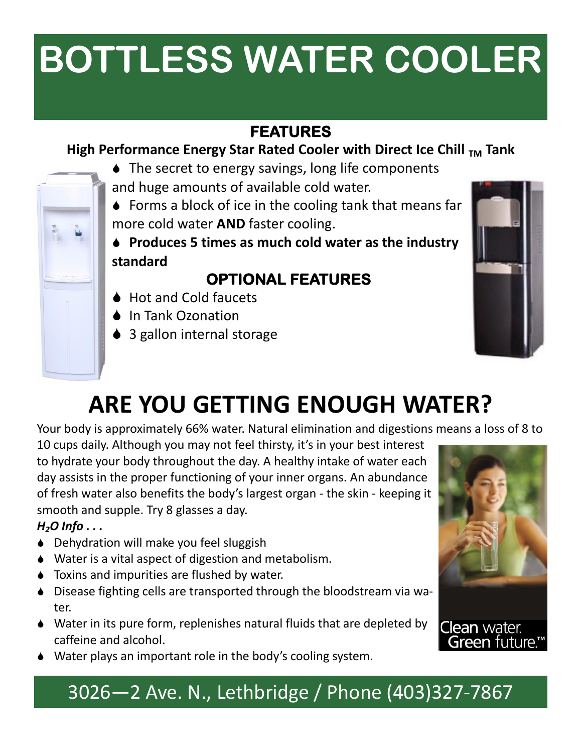# **BOTTLESS WATER COOLER**

## **FEATURES**

#### **High Performance Energy Star Rated Cooler with Direct Ice Chill**  $_{TM}$  **Tank**

- ◆ The secret to energy savings, long life components and huge amounts of available cold water.
- Forms a block of ice in the cooling tank that means far more cold water **AND** faster cooling.
- **Produces 5 times as much cold water as the industry standard**

## **OPTIONAL FEATURES**

- **▲ Hot and Cold faucets**
- ♦ In Tank Ozonation
- ♦ 3 gallon internal storage



# **ARE YOU GETTING ENOUGH WATER?**

Your body is approximately 66% water. Natural elimination and digestions means a loss of 8 to

10 cups daily. Although you may not feel thirsty, it's in your best interest to hydrate your body throughout the day. A healthy intake of water each day assists in the proper functioning of your inner organs. An abundance of fresh water also benefits the body's largest organ - the skin - keeping it smooth and supple. Try 8 glasses a day.

#### *H2O Info . . .*

- ♦ Dehydration will make you feel sluggish
- Water is a vital aspect of digestion and metabolism.
- ◆ Toxins and impurities are flushed by water.
- Disease fighting cells are transported through the bloodstream via water.
- Water in its pure form, replenishes natural fluids that are depleted by caffeine and alcohol.
- Water plays an important role in the body's cooling system.



# 3026—2 Ave. N., Lethbridge / Phone (403)327-7867